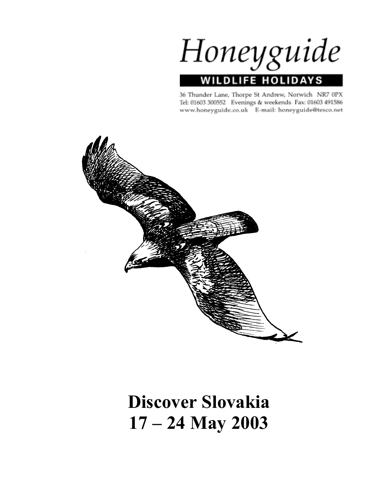Honeyguide **WILDLIFE HOLIDAYS** 

36 Thunder Lane, Thorpe St Andrew, Norwich NR7 0PX Tel: 01603 300552 Evenings & weekends Fax: 01603 491586 www.honeyguide.co.uk E-mail: honeyguide@tesco.net



# **Discover Slovakia 17 – 24 May 2003**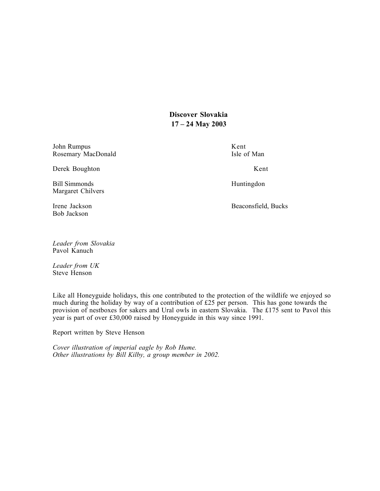**Discover Slovakia 17 – 24 May 2003**

John Rumpus Kent Rosemary MacDonald Isle of Man

Derek Boughton Kent

Bill Simmonds Huntingdon Margaret Chilvers

Bob Jackson

Irene Jackson **Beaconsfield**, Bucks

*Leader from Slovakia* Pavol Kanuch

*Leader from UK* Steve Henson

Like all Honeyguide holidays, this one contributed to the protection of the wildlife we enjoyed so much during the holiday by way of a contribution of £25 per person. This has gone towards the provision of nestboxes for sakers and Ural owls in eastern Slovakia. The £175 sent to Pavol this year is part of over £30,000 raised by Honeyguide in this way since 1991.

Report written by Steve Henson

*Cover illustration of imperial eagle by Rob Hume. Other illustrations by Bill Kilby, a group member in 2002.*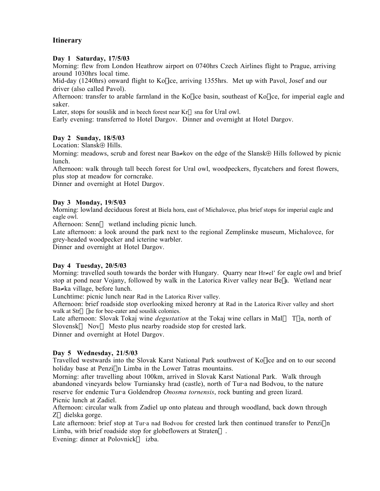# **Itinerary**

### **Day 1 Saturday, 17/5/03**

Morning: flew from London Heathrow airport on 0740hrs Czech Airlines flight to Prague, arriving around 1030hrs local time.

Mid-day (1240hrs) onward flight to Ko<sup>l</sup>ice, arriving 1355hrs. Met up with Pavol, Josef and our driver (also called Pavol).

Afternoon: transfer to arable farmland in the Ko $\vert$ ice basin, southeast of Ko $\vert$ ice, for imperial eagle and saker.

Later, stops for souslik and in beech forest near  $Kr \rightarrow Sna$  for Ural owl.

Early evening: transferred to Hotel Dargov. Dinner and overnight at Hotel Dargov.

# **Day 2 Sunday, 18/5/03**

Location: Slansk⊕ Hills.

Morning: meadows, scrub and forest near Ba≠kov on the edge of the Slansk⊕ Hills followed by picnic lunch.

Afternoon: walk through tall beech forest for Ural owl, woodpeckers, flycatchers and forest flowers, plus stop at meadow for corncrake.

Dinner and overnight at Hotel Dargov.

# **Day 3 Monday, 19/5/03**

Morning: lowland deciduous forest at Biela hora, east of Michalovce, plus brief stops for imperial eagle and eagle owl.

Afternoon: Senn— wetland including picnic lunch.

Late afternoon: a look around the park next to the regional Zemplinske museum, Michalovce, for grey-headed woodpecker and icterine warbler.

Dinner and overnight at Hotel Dargov.

# **Day 4 Tuesday, 20/5/03**

Morning: travelled south towards the border with Hungary. Quarry near Hr≠el' for eagle owl and brief stop at pond near Vojany, followed by walk in the Latorica River valley near Be<sup>[a]</sup>. Wetland near Ba≠ka village, before lunch.

Lunchtime: picnic lunch near Rad in the Latorica River valley.

Afternoon: brief roadside stop overlooking mixed heronry at Rad in the Latorica River valley and short walk at  $Str \leftrightarrow$  lne for bee-eater and souslik colonies.

Late afternoon: Slovak Tokaj wine *degustation* at the Tokaj wine cellars in Mal ← T\·a, north of Slovensk— Nov— Mesto plus nearby roadside stop for crested lark.

Dinner and overnight at Hotel Dargov.

# **Day 5 Wednesday, 21/5/03**

Travelled westwards into the Slovak Karst National Park southwest of Ko ice and on to our second holiday base at Penzi∧n Limba in the Lower Tatras mountains.

Morning: after travelling about 100km, arrived in Slovak Karst National Park. Walk through abandoned vineyards below Turniansky hrad (castle), north of Tur⋅a nad Bodvou, to the nature reserve for endemic Tur⋅a Goldendrop *Onosma tornensis*, rock bunting and green lizard. Picnic lunch at Zadiel.

Afternoon: circular walk from Zadiel up onto plateau and through woodland, back down through  $Z \leftrightarrow$ dielska gorge.

Late afternoon: brief stop at Tur⋅a nad Bodvou for crested lark then continued transfer to Penzi∧n Limba, with brief roadside stop for globeflowers at Straten $\leftrightarrow$ .

Evening: dinner at Polovnick $\leftrightarrow$  izba.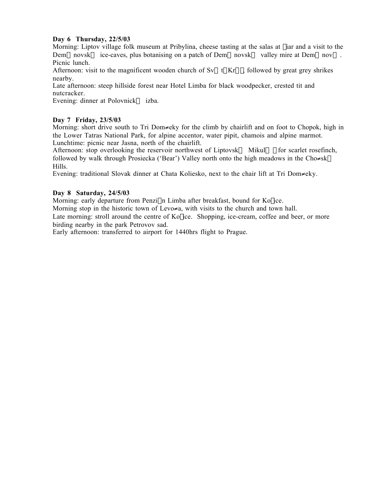# **Day 6 Thursday, 22/5/03**

Morning: Liptov village folk museum at Pribylina, cheese tasting at the salas at fiar and a visit to the Dem—novsk $\leftrightarrow$  ice-caves, plus botanising on a patch of Dem—novsk $\leftrightarrow$  valley mire at Dem—nov $\leftrightarrow$ . Picnic lunch.

Afternoon: visit to the magnificent wooden church of  $Sv \leftarrow t | Kr \subseteq |$ , followed by great grey shrikes nearby.

Late afternoon: steep hillside forest near Hotel Limba for black woodpecker, crested tit and nutcracker.

Evening: dinner at Polovnick $\leftrightarrow$  izba.

# **Day 7 Friday, 23/5/03**

Morning: short drive south to Tri Dom≠eky for the climb by chairlift and on foot to Chopok, high in the Lower Tatras National Park, for alpine accentor, water pipit, chamois and alpine marmot. Lunchtime: picnic near Jasna, north of the chairlift.

Afternoon: stop overlooking the reservoir northwest of Liptovsk $\leftrightarrow$  Mikul $\leftrightarrow$  for scarlet rosefinch, followed by walk through Prosiecka ('Bear') Valley north onto the high meadows in the Cho≠sk— Hills.

Evening: traditional Slovak dinner at Chata Koliesko, next to the chair lift at Tri Dom≠eky.

# **Day 8 Saturday, 24/5/03**

Morning: early departure from Penzi∧n Limba after breakfast, bound for Ko[ice.

Morning stop in the historic town of Levo≠a, with visits to the church and town hall.

Late morning: stroll around the centre of  $K_0$  ice. Shopping, ice-cream, coffee and beer, or more birding nearby in the park Petrovov sad.

Early afternoon: transferred to airport for 1440hrs flight to Prague.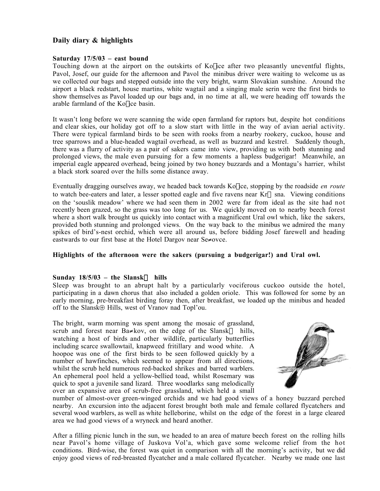# **Daily diary & highlights**

# **Saturday 17/5/03 – east bound**

Touching down at the airport on the outskirts of  $K_0$  ice after two pleasantly uneventful flights, Pavol, Josef, our guide for the afternoon and Pavol the minibus driver were waiting to welcome us as we collected our bags and stepped outside into the very bright, warm Slovakian sunshine. Around the airport a black redstart, house martins, white wagtail and a singing male serin were the first birds to show themselves as Pavol loaded up our bags and, in no time at all, we were heading off towards the arable farmland of the Ko ice basin.

It wasn't long before we were scanning the wide open farmland for raptors but, despite hot conditions and clear skies, our holiday got off to a slow start with little in the way of avian aerial activity. There were typical farmland birds to be seen with rooks from a nearby rookery, cuckoo, house and tree sparrows and a blue-headed wagtail overhead, as well as buzzard and kestrel. Suddenly though, there was a flurry of activity as a pair of sakers came into view, providing us with both stunning and prolonged views, the male even pursuing for a few moments a hapless budgerigar! Meanwhile, an imperial eagle appeared overhead, being joined by two honey buzzards and a Montagu's harrier, whilst a black stork soared over the hills some distance away.

Eventually dragging ourselves away, we headed back towards Ko<sup>n</sup>ice, stopping by the roadside *en route* to watch bee-eaters and later, a lesser spotted eagle and five ravens near  $Kr \rightarrow sna$ . Viewing conditions on the 'souslik meadow' where we had seen them in 2002 were far from ideal as the site had not recently been grazed, so the grass was too long for us. We quickly moved on to nearby beech forest where a short walk brought us quickly into contact with a magnificent Ural owl which, like the sakers, provided both stunning and prolonged views. On the way back to the minibus we admired the many spikes of bird's-nest orchid, which were all around us, before bidding Josef farewell and heading eastwards to our first base at the Hotel Dargov near Se≠ovce.

# **Highlights of the afternoon were the sakers (pursuing a budgerigar!) and Ural owl.**

# Sunday  $18/5/03$  – the Slansk— hills

Sleep was brought to an abrupt halt by a particularly vociferous cuckoo outside the hotel, participating in a dawn chorus that also included a golden oriole. This was followed for some by an early morning, pre-breakfast birding foray then, after breakfast, we loaded up the minibus and headed off to the Slansk⊕ Hills, west of Vranov nad Topl'ou.

The bright, warm morning was spent among the mosaic of grassland, scrub and forest near Ba≠kov, on the edge of the Slansk— hills, watching a host of birds and other wildlife, particularly butterflies including scarce swallowtail, knapweed fritillary and wood white. A hoopoe was one of the first birds to be seen followed quickly by a number of hawfinches, which seemed to appear from all directions, whilst the scrub held numerous red-backed shrikes and barred warblers. An ephemeral pool held a yellow-bellied toad, whilst Rosemary was quick to spot a juvenile sand lizard. Three woodlarks sang melodically over an expansive area of scrub-free grassland, which held a small



number of almost-over green-winged orchids and we had good views of a honey buzzard perched nearby. An excursion into the adjacent forest brought both male and female collared flycatchers and several wood warblers, as well as white helleborine, whilst on the edge of the forest in a large cleared area we had good views of a wryneck and heard another.

After a filling picnic lunch in the sun, we headed to an area of mature beech forest on the rolling hills near Pavol's home village of Juskova Vol'a, which gave some welcome relief from the hot conditions. Bird-wise, the forest was quiet in comparison with all the morning's activity, but we did enjoy good views of red-breasted flycatcher and a male collared flycatcher. Nearby we made one last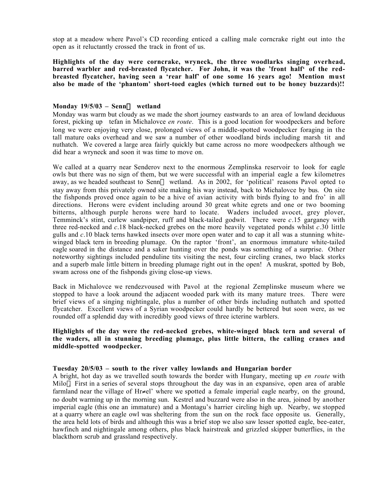stop at a meadow where Pavol's CD recording enticed a calling male corncrake right out into the open as it reluctantly crossed the track in front of us.

**Highlights of the day were corncrake, wryneck, the three woodlarks singing overhead, barred warbler and red-breasted flycatcher. For John, it was the 'front half' of the redbreasted flycatcher, having seen a 'rear half' of one some 16 years ago! Mention must also be made of the 'phantom' short-toed eagles (which turned out to be honey buzzards)!!**

#### Monday 19/5/03 – Senn— wetland

Monday was warm but cloudy as we made the short journey eastwards to an area of lowland deciduous forest, picking up tefan in Michalovce *en route*. This is a good location for woodpeckers and before long we were enjoying very close, prolonged views of a middle-spotted woodpecker foraging in the tall mature oaks overhead and we saw a number of other woodland birds including marsh tit and nuthatch. We covered a large area fairly quickly but came across no more woodpeckers although we did hear a wryneck and soon it was time to move on.

We called at a quarry near Senderov next to the enormous Zemplinska reservoir to look for eagle owls but there was no sign of them, but we were successful with an imperial eagle a few kilometres away, as we headed southeast to Senn— wetland. As in 2002, for 'political' reasons Pavol opted to stay away from this privately owned site making his way instead, back to Michalovce by bus. On site the fishponds proved once again to be a hive of avian activity with birds flying to and fro' in all directions. Herons were evident including around 30 great white egrets and one or two booming bitterns, although purple herons were hard to locate. Waders included avocet, grey plover, Temminck's stint, curlew sandpiper, ruff and black-tailed godwit. There were *c*.15 garganey with three red-necked and *c*.18 black-necked grebes on the more heavily vegetated ponds whilst *c*.30 little gulls and *c*.10 black terns hawked insects over more open water and to cap it all was a stunning whitewinged black tern in breeding plumage. On the raptor 'front', an enormous immature white-tailed eagle soared in the distance and a saker hunting over the ponds was something of a surprise. Other noteworthy sightings included penduline tits visiting the nest, four circling cranes, two black storks and a superb male little bittern in breeding plumage right out in the open! A muskrat, spotted by Bob, swam across one of the fishponds giving close-up views.

Back in Michalovce we rendezvoused with Pavol at the regional Zemplinske museum where we stopped to have a look around the adjacent wooded park with its many mature trees. There were brief views of a singing nightingale, plus a number of other birds including nuthatch and spotted flycatcher. Excellent views of a Syrian woodpecker could hardly be bettered but soon were, as we rounded off a splendid day with incredibly good views of three icterine warblers.

# **Highlights of the day were the red-necked grebes, white-winged black tern and several of the waders, all in stunning breeding plumage, plus little bittern, the calling cranes and middle-spotted woodpecker.**

#### **Tuesday 20/5/03 – south to the river valley lowlands and Hungarian border**

A bright, hot day as we travelled south towards the border with Hungary, meeting up *en route* with Milo). First in a series of several stops throughout the day was in an expansive, open area of arable farmland near the village of Hr≠el' where we spotted a female imperial eagle nearby, on the ground, no doubt warming up in the morning sun. Kestrel and buzzard were also in the area, joined by another imperial eagle (this one an immature) and a Montagu's harrier circling high up. Nearby, we stopped at a quarry where an eagle owl was sheltering from the sun on the rock face opposite us. Generally, the area held lots of birds and although this was a brief stop we also saw lesser spotted eagle, bee-eater, hawfinch and nightingale among others, plus black hairstreak and grizzled skipper butterflies, in the blackthorn scrub and grassland respectively.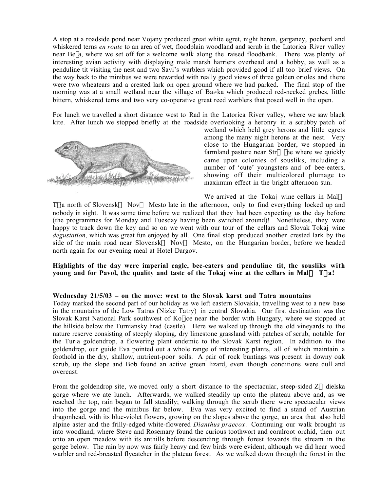A stop at a roadside pond near Vojany produced great white egret, night heron, garganey, pochard and whiskered terns *en route* to an area of wet, floodplain woodland and scrub in the Latorica River valley near Be<sup> $\alpha$ </sup> a, where we set off for a welcome walk along the raised floodbank. There was plenty of interesting avian activity with displaying male marsh harriers overhead and a hobby, as well as a penduline tit visiting the nest and two Savi's warblers which provided good if all too brief views. On the way back to the minibus we were rewarded with really good views of three golden orioles and there were two wheatears and a crested lark on open ground where we had parked. The final stop of the morning was at a small wetland near the village of Ba≠ka which produced red-necked grebes, little bittern, whiskered terns and two very co-operative great reed warblers that posed well in the open.

For lunch we travelled a short distance west to Rad in the Latorica River valley, where we saw black kite. After lunch we stopped briefly at the roadside overlooking a heronry in a scrubby patch of



wetland which held grey herons and little egrets among the many night herons at the nest. Very close to the Hungarian border, we stopped in farmland pasture near  $Str \leftrightarrow$  |ne where we quickly came upon colonies of sousliks, including a number of 'cute' youngsters and of bee-eaters, showing off their multicolored plumage to maximum effect in the bright afternoon sun.

We arrived at the Tokaj wine cellars in Mal $\leftrightarrow$ T\·a north of Slovensk— Nov— Mesto late in the afternoon, only to find everything locked up and nobody in sight. It was some time before we realized that they had been expecting us the day before (the programmes for Monday and Tuesday having been switched around)! Nonetheless, they were happy to track down the key and so on we went with our tour of the cellars and Slovak Tokaj wine *degustation*, which was great fun enjoyed by all. One final stop produced another crested lark by the side of the main road near Slovensk— Nov— Mesto, on the Hungarian border, before we headed north again for our evening meal at Hotel Dargov.

**Highlights of the day were imperial eagle, bee-eaters and penduline tit, the sousliks with young and for Pavol, the quality and taste of the Tokaj wine at the cellars in Mal** $\leftrightarrow$  **T** $\cdot$ **a!** 

#### **Wednesday 21/5/03 – on the move: west to the Slovak karst and Tatra mountains**

Today marked the second part of our holiday as we left eastern Slovakia, travelling west to a new base in the mountains of the Low Tatras (Nizke Tatry) in central Slovakia. Our first destination was the Slovak Karst National Park southwest of Kolice near the border with Hungary, where we stopped at the hillside below the Turniansky hrad (castle). Here we walked up through the old vineyards to the nature reserve consisting of steeply sloping, dry limestone grassland with patches of scrub, notable for the Tur⋅a goldendrop, a flowering plant endemic to the Slovak Karst region. In addition to the goldendrop, our guide Eva pointed out a whole range of interesting plants, all of which maintain a foothold in the dry, shallow, nutrient-poor soils. A pair of rock buntings was present in downy oak scrub, up the slope and Bob found an active green lizard, even though conditions were dull and overcast.

From the goldendrop site, we moved only a short distance to the spectacular, steep-sided  $Z \leftrightarrow$  dielska gorge where we ate lunch. Afterwards, we walked steadily up onto the plateau above and, as we reached the top, rain began to fall steadily; walking through the scrub there were spectacular views into the gorge and the minibus far below. Eva was very excited to find a stand of Austrian dragonhead, with its blue-violet flowers, growing on the slopes above the gorge, an area that also held alpine aster and the frilly-edged white-flowered *Dianthus praecox*. Continuing our walk brought us into woodland, where Steve and Rosemary found the curious toothwort and coralroot orchid, then out onto an open meadow with its anthills before descending through forest towards the stream in the gorge below. The rain by now was fairly heavy and few birds were evident, although we did hear wood warbler and red-breasted flycatcher in the plateau forest. As we walked down through the forest in the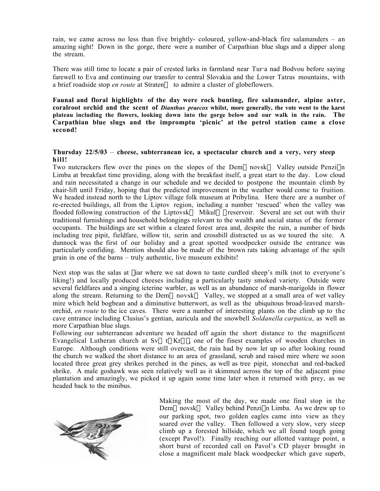rain, we came across no less than five brightly- coloured, yellow-and-black fire salamanders – an amazing sight! Down in the gorge, there were a number of Carpathian blue slugs and a dipper along the stream.

There was still time to locate a pair of crested larks in farmland near Tur⋅a nad Bodvou before saying farewell to Eva and continuing our transfer to central Slovakia and the Lower Tatras mountains, with a brief roadside stop *en route* at Straten $\leftrightarrow$  to admire a cluster of globeflowers.

**Faunal and floral highlights of the day were rock bunting, fire salamander, alpine aster, coralroot orchid and the scent of** *Dianthus praecox* **whilst, more generally, the vote went to the karst plateau including the flowers, looking down into the gorge below and our walk in the rain. The Carpathian blue slugs and the impromptu 'picnic' at the petrol station came a close second!**

# **Thursday 22/5/03** – **cheese, subterranean ice, a spectacular church and a very, very steep hill!**

Two nutcrackers flew over the pines on the slopes of the Dem $\leftarrow$ novsk $\leftrightarrow$  Valley outside Penzi $\land$ n Limba at breakfast time providing, along with the breakfast itself, a great start to the day. Low cloud and rain necessitated a change in our schedule and we decided to postpone the mountain climb by chair-lift until Friday, hoping that the predicted improvement in the weather would come to fruition. We headed instead north to the Liptov village folk museum at Pribylina. Here there are a number of re-erected buildings, all from the Liptov region, including a number 'rescued' when the valley was flooded following construction of the Liptovsk $\leftrightarrow$  Mikul $\leftrightarrow$  reservoir. Several are set out with their traditional furnishings and household belongings relevant to the wealth and social status of the former occupants. The buildings are set within a cleared forest area and, despite the rain, a number of birds including tree pipit, fieldfare, willow tit, serin and crossbill distracted us as we toured the site. A dunnock was the first of our holiday and a great spotted woodpecker outside the entrance was particularly confiding. Mention should also be made of the brown rats taking advantage of the spilt grain in one of the barns – truly authentic, live museum exhibits!

Next stop was the salas at fiar where we sat down to taste curdled sheep's milk (not to everyone's liking!) and locally produced cheeses including a particularly tasty smoked variety. Outside were several fieldfares and a singing icterine warbler, as well as an abundance of marsh-marigolds in flower along the stream. Returning to the Dem—novsk $\leftrightarrow$  Valley, we stopped at a small area of wet valley mire which held bogbean and a diminutive butterwort, as well as the ubiquitous broad-leaved marshorchid, *en route* to the ice caves. There were a number of interesting plants on the climb up to the cave entrance including Clusius's gentian, auricula and the snowbell *Soldanella carpatica*, as well as more Carpathian blue slugs.

Following our subterranean adventure we headed off again the short distance to the magnificent Evangelical Lutheran church at Sv $\leftarrow$ t Kr $\subseteq$ , one of the finest examples of wooden churches in Europe. Although conditions were still overcast, the rain had by now let up so after looking round the church we walked the short distance to an area of grassland, scrub and raised mire where we soon located three great grey shrikes perched in the pines, as well as tree pipit, stonechat and red-backed shrike. A male goshawk was seen relatively well as it skimmed across the top of the adjacent pine plantation and amazingly, we picked it up again some time later when it returned with prey, as we headed back to the minibus.



Making the most of the day, we made one final stop in the Dem inovsk  $\leftrightarrow$  Valley behind Penzi n Limba. As we drew up to our parking spot, two golden eagles came into view as they soared over the valley. Then followed a very slow, very steep climb up a forested hillside, which we all found tough going (except Pavol!). Finally reaching our allotted vantage point, a short burst of recorded call on Pavol's CD player brought in close a magnificent male black woodpecker which gave superb,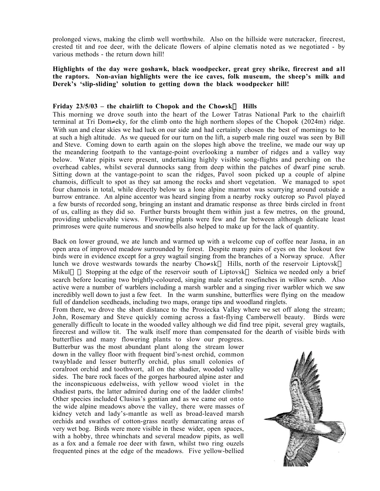prolonged views, making the climb well worthwhile. Also on the hillside were nutcracker, firecrest, crested tit and roe deer, with the delicate flowers of alpine clematis noted as we negotiated - by various methods - the return down hill!

**Highlights of the day were goshawk, black woodpecker, great grey shrike, firecrest and all the raptors. Non-avian highlights were the ice caves, folk museum, the sheep's milk and Derek's 'slip-sliding' solution to getting down the black woodpecker hill!**

# Friday  $23/5/03$  – the chairlift to Chopok and the Cho≠sk— Hills

This morning we drove south into the heart of the Lower Tatras National Park to the chairlift terminal at Tri Dom≠eky, for the climb onto the high northern slopes of the Chopok (2024m) ridge. With sun and clear skies we had luck on our side and had certainly chosen the best of mornings to be at such a high altitude. As we queued for our turn on the lift, a superb male ring ouzel was seen by Bill and Steve. Coming down to earth again on the slopes high above the treeline, we made our way up the meandering footpath to the vantage-point overlooking a number of ridges and a valley way below. Water pipits were present, undertaking highly visible song-flights and perching on the overhead cables, whilst several dunnocks sang from deep within the patches of dwarf pine scrub. Sitting down at the vantage-point to scan the ridges, Pavol soon picked up a couple of alpine chamois, difficult to spot as they sat among the rocks and short vegetation. We managed to spot four chamois in total, while directly below us a lone alpine marmot was scurrying around outside a burrow entrance. An alpine accentor was heard singing from a nearby rocky outcrop so Pavol played a few bursts of recorded song, bringing an instant and dramatic response as three birds circled in front of us, calling as they did so. Further bursts brought them within just a few metres, on the ground, providing unbelievable views. Flowering plants were few and far between although delicate least primroses were quite numerous and snowbells also helped to make up for the lack of quantity.

Back on lower ground, we ate lunch and warmed up with a welcome cup of coffee near Jasna, in an open area of improved meadow surrounded by forest. Despite many pairs of eyes on the lookout few birds were in evidence except for a grey wagtail singing from the branches of a Norway spruce. After lunch we drove westwards towards the nearby Cho≠sk— Hills, north of the reservoir Liptovsk $\leftrightarrow$ Mikul $\leftrightarrow$ . Stopping at the edge of the reservoir south of Liptovsk $\leftrightarrow$  Sielnica we needed only a brief search before locating two brightly-coloured, singing male scarlet rosefinches in willow scrub. Also active were a number of warblers including a marsh warbler and a singing river warbler which we saw incredibly well down to just a few feet. In the warm sunshine, butterflies were flying on the meadow full of dandelion seedheads, including two maps, orange tips and woodland ringlets.

From there, we drove the short distance to the Prosiecka Valley where we set off along the stream; John, Rosemary and Steve quickly coming across a fast-flying Camberwell beauty. Birds were generally difficult to locate in the wooded valley although we did find tree pipit, several grey wagtails, firecrest and willow tit. The walk itself more than compensated for the dearth of visible birds with butterflies and many flowering plants to slow our progress.

Butterbur was the most abundant plant along the stream lower down in the valley floor with frequent bird's-nest orchid, common twayblade and lesser butterfly orchid, plus small colonies of coralroot orchid and toothwort, all on the shadier, wooded valley sides. The bare rock faces of the gorges harboured alpine aster and the inconspicuous edelweiss, with yellow wood violet in the shadiest parts, the latter admired during one of the ladder climbs! Other species included Clusius's gentian and as we came out onto the wide alpine meadows above the valley, there were masses of kidney vetch and lady's-mantle as well as broad-leaved marsh orchids and swathes of cotton-grass neatly demarcating areas of very wet bog. Birds were more visible in these wider, open spaces, with a hobby, three whinchats and several meadow pipits, as well as a fox and a female roe deer with fawn, whilst two ring ouzels frequented pines at the edge of the meadows. Five yellow-bellied

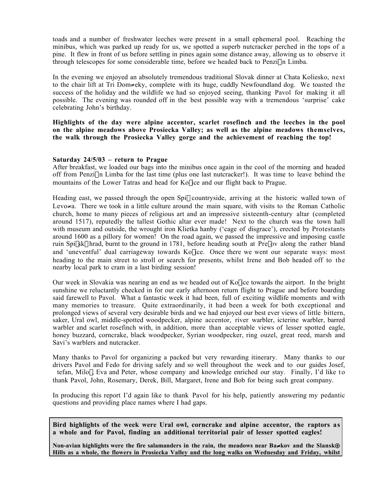toads and a number of freshwater leeches were present in a small ephemeral pool. Reaching the minibus, which was parked up ready for us, we spotted a superb nutcracker perched in the tops of a pine. It flew in front of us before settling in pines again some distance away, allowing us to observe it through telescopes for some considerable time, before we headed back to Penzi∧n Limba.

In the evening we enjoyed an absolutely tremendous traditional Slovak dinner at Chata Koliesko, next to the chair lift at Tri Dom≠eky, complete with its huge, cuddly Newfoundland dog. We toasted the success of the holiday and the wildlife we had so enjoyed seeing, thanking Pavol for making it all possible. The evening was rounded off in the best possible way with a tremendous 'surprise' cake celebrating John's birthday.

**Highlights of the day were alpine accentor, scarlet rosefinch and the leeches in the pool on the alpine meadows above Prosiecka Valley; as well as the alpine meadows themselves, the walk through the Prosiecka Valley gorge and the achievement of reaching the top!**

#### **Saturday 24/5/03 – return to Prague**

**Derek's was the entire holiday!**

After breakfast, we loaded our bags into the minibus once again in the cool of the morning and headed off from Penzi $\Lambda$ n Limba for the last time (plus one last nutcracker!). It was time to leave behind the mountains of the Lower Tatras and head for Ko ice and our flight back to Prague.

Heading east, we passed through the open Spil countryside, arriving at the historic walled town of Levo≠a. There we took in a little culture around the main square, with visits to the Roman Catholic church, home to many pieces of religious art and an impressive sixteenth-century altar (completed around 1517), reputedly the tallest Gothic altar ever made! Next to the church was the town hall with museum and outside, the wrought iron Klietka hanby ('cage of disgrace'), erected by Protestants around 1600 as a pillory for women! On the road again, we passed the impressive and imposing castle ruin Spi]sk | hrad, burnt to the ground in 1781, before heading south at Pre | ov along the rather bland and 'uneventful' dual carriageway towards Kolice. Once there we went our separate ways: most heading to the main street to stroll or search for presents, whilst Irene and Bob headed off to the nearby local park to cram in a last birding session!

Our week in Slovakia was nearing an end as we headed out of Ko ice towards the airport. In the bright sunshine we reluctantly checked in for our early afternoon return flight to Prague and before boarding said farewell to Pavol. What a fantastic week it had been, full of exciting wildlife moments and with many memories to treasure. Quite extraordinarily, it had been a week for both exceptional and prolonged views of several very desirable birds and we had enjoyed our best ever views of little bittern, saker, Ural owl, middle-spotted woodpecker, alpine accentor, river warbler, icterine warbler, barred warbler and scarlet rosefinch with, in addition, more than acceptable views of lesser spotted eagle, honey buzzard, corncrake, black woodpecker, Syrian woodpecker, ring ouzel, great reed, marsh and Savi's warblers and nutcracker.

Many thanks to Pavol for organizing a packed but very rewarding itinerary. Many thanks to our drivers Pavol and Fedo for driving safely and so well throughout the week and to our guides Josef, tefan, Milo [, Eva and Peter, whose company and knowledge enriched our stay. Finally, I'd like to thank Pavol, John, Rosemary, Derek, Bill, Margaret, Irene and Bob for being such great company.

In producing this report I'd again like to thank Pavol for his help, patiently answering my pedantic questions and providing place names where I had gaps.

**Bird highlights of the week were Ural owl, corncrake and alpine accentor, the raptors as a whole and for Pavol, finding an additional territorial pair of lesser spotted eagles!**

**Non-avian highlights were the fire salamanders in the rain, the meadows near Ba**≠**kov and the Slansk**⊕ **Hills as a whole, the flowers in Prosiecka Valley and the long walks on Wednesday and Friday, whilst**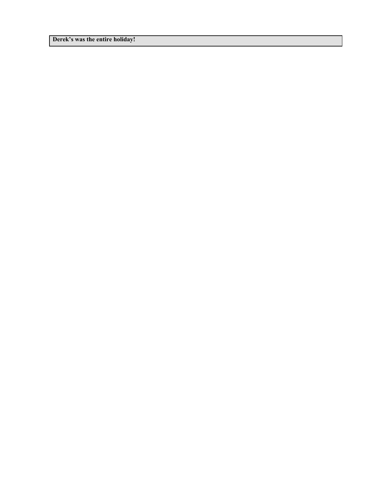**Derek's was the entire holiday!**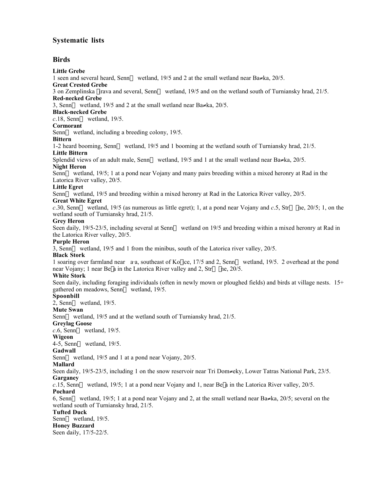# **Systematic lists**

# **Birds**

#### **Little Grebe**

1 seen and several heard, Senn— wetland, 19/5 and 2 at the small wetland near  $Ba \neq ka$ , 20/5.

**Great Crested Grebe**

3 on Zemplinska *lirava and several, Senn—* wetland, 19/5 and on the wetland south of Turniansky hrad, 21/5. **Red-necked Grebe**

3, Senn— wetland, 19/5 and 2 at the small wetland near Ba≠ka, 20/5.

**Black-necked Grebe**

*c*.18, Senn— wetland, 19/5.

#### **Cormorant**

Senn— wetland, including a breeding colony, 19/5.

#### **Bittern**

1-2 heard booming, Senn— wetland, 19/5 and 1 booming at the wetland south of Turniansky hrad, 21/5. **Little Bittern**

Splendid views of an adult male, Senn— wetland, 19/5 and 1 at the small wetland near Ba≠ka, 20/5.

#### **Night Heron**

Senn—wetland, 19/5; 1 at a pond near Vojany and many pairs breeding within a mixed heronry at Rad in the Latorica River valley, 20/5.

#### **Little Egret**

Senn—wetland, 19/5 and breeding within a mixed heronry at Rad in the Latorica River valley, 20/5.

# **Great White Egret**

*c*.30, Senn— wetland, 19/5 (as numerous as little egret); 1, at a pond near Vojany and *c*.5, Str $\leftrightarrow$  |ne, 20/5; 1, on the wetland south of Turniansky hrad, 21/5.

#### **Grey Heron**

Seen daily, 19/5-23/5, including several at Senn— wetland on 19/5 and breeding within a mixed heronry at Rad in the Latorica River valley, 20/5.

#### **Purple Heron**

3, Sennæ wetland, 19/5 and 1 from the minibus, south of the Latorica river valley, 20/5.

#### **Black Stork**

1 soaring over farmland near a⋅a, southeast of Ko[ice, 17/5 and 2, Senn— wetland, 19/5. 2 overhead at the pond near Vojany; 1 near Be[a in the Latorica River valley and 2, Str $\leftrightarrow$   $\vert$ ne, 20/5.

#### **White Stork**

Seen daily, including foraging individuals (often in newly mown or ploughed fields) and birds at village nests. 15+ gathered on meadows, Senn—wetland, 19/5.

#### **Spoonbill**

 $2$ , Senn— wetland, 19/5.

**Mute Swan**

Senn— wetland, 19/5 and at the wetland south of Turniansky hrad, 21/5.

# **Greylag Goose**

 $c.6$ , Senn— wetland, 19/5.

#### **Wigeon**

 $4-5$ , Senn—wetland, 19/5.

# **Gadwall**

Senn— wetland, 19/5 and 1 at a pond near Vojany, 20/5.

#### **Mallard**

Seen daily, 19/5-23/5, including 1 on the snow reservoir near Tri Dom≠eky, Lower Tatras National Park, 23/5. **Garganey**

*c*.15, Senn— wetland, 19/5; 1 at a pond near Vojany and 1, near Be<sup> $\alpha$ </sup> la in the Latorica River valley, 20/5. **Pochard**

6, Senn— wetland, 19/5; 1 at a pond near Vojany and 2, at the small wetland near Ba $\neq$ ka, 20/5; several on the wetland south of Turniansky hrad, 21/5.

# **Tufted Duck**

Senn— wetland, 19/5.

**Honey Buzzard** Seen daily, 17/5-22/5.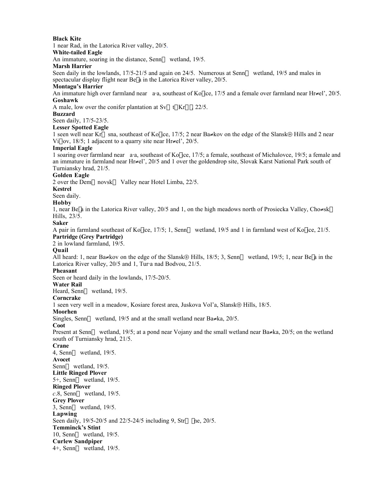#### **Black Kite** 1 near Rad, in the Latorica River valley, 20/5. **White-tailed Eagle** An immature, soaring in the distance, Senn—wetland, 19/5. **Marsh Harrier** Seen daily in the lowlands, 17/5-21/5 and again on 24/5. Numerous at Senn—wetland, 19/5 and males in spectacular display flight near Be $|a|$  in the Latorica River valley, 20/5. **Montagu's Harrier** An immature high over farmland near a⋅a, southeast of Ko|ice, 17/5 and a female over farmland near Hr≠el', 20/5. **Goshawk** A male, low over the conifer plantation at Sv $\leftarrow$ t $\vert$  Kr $\subseteq$  $\vert$ , 22/5. **Buzzard** Seen daily, 17/5-23/5. **Lesser Spotted Eagle** 1 seen well near Kr⇔sna, southeast of Ko∏ice, 17/5; 2 near Ba≠kov on the edge of the Slansk⊕ Hills and 2 near ViÎ⋅ov, 18/5; 1 adjacent to a quarry site near Hr≠el', 20/5. **Imperial Eagle** 1 soaring over farmland near a⋅a, southeast of KoÎice, 17/5; a female, southeast of Michalovce, 19/5; a female and an immature in farmland near Hr≠el', 20/5 and 1 over the goldendrop site, Slovak Karst National Park south of Turniansky hrad, 21/5. **Golden Eagle** 2 over the Dem—novsk $\leftrightarrow$  Valley near Hotel Limba, 22/5. **Kestrel** Seen daily. **Hobby** 1, near Be $|a|$  in the Latorica River valley, 20/5 and 1, on the high meadows north of Prosiecka Valley, Cho≠sk— Hills, 23/5. **Saker** A pair in farmland southeast of Ko $\vert$ ice, 17/5; 1, Senn—wetland, 19/5 and 1 in farmland west of Ko $\vert$ ice, 21/5. **Partridge (Grey Partridge)** 2 in lowland farmland, 19/5. **Quail** All heard: 1, near Ba≠kov on the edge of the Slansk⊕ Hills,  $18/5$ ; 3, Senn— wetland,  $19/5$ ; 1, near Be $|a|$  in the Latorica River valley, 20/5 and 1, Tur⋅a nad Bodvou, 21/5. **Pheasant** Seen or heard daily in the lowlands, 17/5-20/5. **Water Rail** Heard, Senn—wetland, 19/5. **Corncrake** 1 seen very well in a meadow, Kosiare forest area, Juskova Vol'a, Slansk⊕ Hills, 18/5. **Moorhen** Singles, Senn— wetland, 19/5 and at the small wetland near Ba≠ka, 20/5. **Coot** Present at Senn— wetland, 19/5; at a pond near Vojany and the small wetland near Ba≠ka, 20/5; on the wetland south of Turniansky hrad, 21/5. **Crane** 4, Senn— wetland,  $19/5$ . **Avocet** Senn— wetland, 19/5. **Little Ringed Plover** 5+, Senn— wetland, 19/5. **Ringed Plover**  $c.8$ , Senn— wetland, 19/5. **Grey Plover**  $3$ , Senn— wetland, 19/5. **Lapwing** Seen daily,  $19/5-20/5$  and  $22/5-24/5$  including 9, Str $\leftrightarrow$  |ne, 20/5. **Temminck's Stint** 10, Senn— wetland, 19/5. **Curlew Sandpiper**  $4+$ , Senn— wetland, 19/5.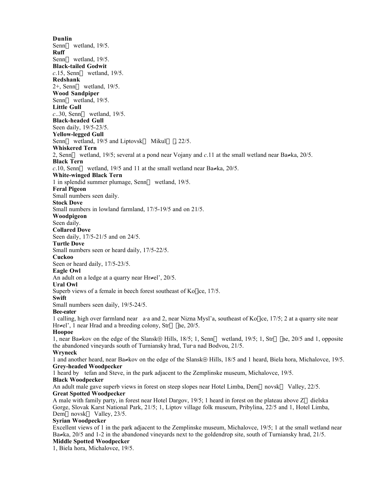**Dunlin** Senn— wetland, 19/5. **Ruff** Senn— wetland, 19/5. **Black-tailed Godwit**  $c.15$ , Senn— wetland, 19/5. **Redshank**  $2+$ , Senn— wetland, 19/5. **Wood Sandpiper** Senn— wetland, 19/5. **Little Gull** *c*..30, Senn— wetland, 19/5. **Black-headed Gull** Seen daily, 19/5-23/5. **Yellow-legged Gull** Senn— wetland, 19/5 and Liptovsk $\leftrightarrow$  Mikul $\leftrightarrow$ , 22/5. **Whiskered Tern** 2, Sennæ wetland, 19/5; several at a pond near Vojany and *c*.11 at the small wetland near Ba≠ka, 20/5. **Black Tern** *c*.10, Senn— wetland, 19/5 and 11 at the small wetland near Ba≠ka, 20/5. **White-winged Black Tern** 1 in splendid summer plumage, Senn— wetland, 19/5. **Feral Pigeon** Small numbers seen daily. **Stock Dove** Small numbers in lowland farmland, 17/5-19/5 and on 21/5. **Woodpigeon** Seen daily. **Collared Dove** Seen daily, 17/5-21/5 and on 24/5. **Turtle Dove** Small numbers seen or heard daily, 17/5-22/5. **Cuckoo** Seen or heard daily, 17/5-23/5. **Eagle Owl** An adult on a ledge at a quarry near Hr≠el', 20/5. **Ural Owl** Superb views of a female in beech forest southeast of  $K_0$  ice, 17/5. **Swift** Small numbers seen daily, 19/5-24/5. **Bee-eater** 1 calling, high over farmland near a⋅a and 2, near Nizna Mysl'a, southeast of KoÎice, 17/5; 2 at a quarry site near Hr≠el', 1 near Hrad and a breeding colony, Str $\leftrightarrow$  |ne, 20/5. **Hoopoe** 1, near Ba≠kov on the edge of the Slansk⊕ Hills, 18/5; 1, Senn— wetland, 19/5; 1, Str⇔  $|ne, 20/5$  and 1, opposite the abandoned vineyards south of Turniansky hrad, Tur⋅a nad Bodvou, 21/5. **Wryneck** 1 and another heard, near Ba≠kov on the edge of the Slansk⊕ Hills, 18/5 and 1 heard, Biela hora, Michalovce, 19/5. **Grey-headed Woodpecker** 1 heard by tefan and Steve, in the park adjacent to the Zemplinske museum, Michalovce, 19/5. **Black Woodpecker** An adult male gave superb views in forest on steep slopes near Hotel Limba, Dem—novsk $\leftrightarrow$  Valley, 22/5. **Great Spotted Woodpecker** A male with family party, in forest near Hotel Dargov,  $19/5$ ; 1 heard in forest on the plateau above  $Z \leftrightarrow$  dielska Gorge, Slovak Karst National Park, 21/5; 1, Liptov village folk museum, Pribylina, 22/5 and 1, Hotel Limba, Dem  $\leftarrow$  novsk $\leftrightarrow$  Valley, 23/5. **Syrian Woodpecker** Excellent views of 1 in the park adjacent to the Zemplinske museum, Michalovce, 19/5; 1 at the small wetland near Ba≠ka, 20/5 and 1-2 in the abandoned vineyards next to the goldendrop site, south of Turniansky hrad, 21/5. **Middle Spotted Woodpecker** 1, Biela hora, Michalovce, 19/5.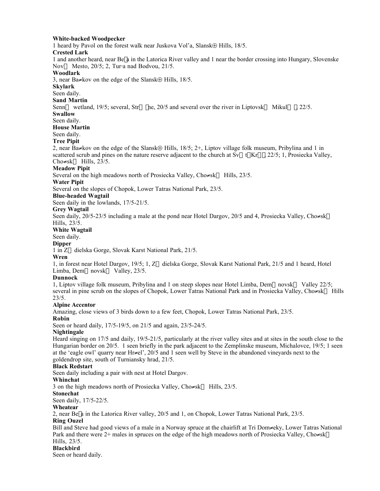#### **White-backed Woodpecker**

1 heard by Pavol on the forest walk near Juskova Vol'a, Slansk⊕ Hills, 18/5.

#### **Crested Lark**

1 and another heard, near Be<sup> $\vert a$ </sup> in the Latorica River valley and 1 near the border crossing into Hungary, Slovenske Nov— Mesto, 20/5; 2, Tur⋅a nad Bodvou, 21/5.

#### **Woodlark**

3, near Ba≠kov on the edge of the Slansk⊕ Hills, 18/5.

#### **Skylark**

Seen daily.

#### **Sand Martin**

Senn— wetland, 19/5; several, Str $\leftrightarrow$  |ne, 20/5 and several over the river in Liptovsk $\leftrightarrow$  Mikul $\leftrightarrow$  |, 22/5.

#### **Swallow**

Seen daily.

**House Martin**

#### Seen daily.

**Tree Pipit**

2, near Ba≠kov on the edge of the Slansk⊕ Hills, 18/5; 2+, Liptov village folk museum, Pribylina and 1 in scattered scrub and pines on the nature reserve adjacent to the church at Sv—t | Kr⊆|, 22/5; 1, Prosiecka Valley, Cho $\neq$ sk— Hills, 23/5.

#### **Meadow Pipit**

Several on the high meadows north of Prosiecka Valley, Cho≠sk— Hills,  $23/5$ .

#### **Water Pipit**

Several on the slopes of Chopok, Lower Tatras National Park, 23/5.

#### **Blue-headed Wagtail**

Seen daily in the lowlands, 17/5-21/5.

#### **Grey Wagtail**

Seen daily, 20/5-23/5 including a male at the pond near Hotel Dargov, 20/5 and 4, Prosiecka Valley, Cho≠sk— Hills, 23/5.

#### **White Wagtail**

Seen daily.

#### **Dipper**

1 in Z⇔dielska Gorge, Slovak Karst National Park, 21/5.

#### **Wren**

1, in forest near Hotel Dargov, 19/5; 1,  $Z \leftrightarrow$  dielska Gorge, Slovak Karst National Park, 21/5 and 1 heard, Hotel Limba, Dem $\leftarrow$ novsk $\leftrightarrow$  Valley, 23/5.

#### **Dunnock**

1, Liptov village folk museum, Pribylina and 1 on steep slopes near Hotel Limba, Dem—novsk $\leftrightarrow$  Valley 22/5; several in pine scrub on the slopes of Chopok, Lower Tatras National Park and in Prosiecka Valley, Cho≠sk—Hills  $23/5.$ 

#### **Alpine Accentor**

Amazing, close views of 3 birds down to a few feet, Chopok, Lower Tatras National Park, 23/5.

#### **Robin**

Seen or heard daily, 17/5-19/5, on 21/5 and again, 23/5-24/5.

#### **Nightingale**

Heard singing on 17/5 and daily, 19/5-21/5, particularly at the river valley sites and at sites in the south close to the Hungarian border on 20/5. 1 seen briefly in the park adjacent to the Zemplinske museum, Michalovce, 19/5; 1 seen at the 'eagle owl' quarry near Hr≠el', 20/5 and 1 seen well by Steve in the abandoned vineyards next to the goldendrop site, south of Turniansky hrad, 21/5.

#### **Black Redstart**

Seen daily including a pair with nest at Hotel Dargov.

#### **Whinchat**

3 on the high meadows north of Prosiecka Valley, Cho≠sk— Hills,  $23/5$ .

# **Stonechat**

Seen daily, 17/5-22/5.

#### **Wheatear**

2, near Be $\alpha$  in the Latorica River valley, 20/5 and 1, on Chopok, Lower Tatras National Park, 23/5.

#### **Ring Ouzel**

Bill and Steve had good views of a male in a Norway spruce at the chairlift at Tri Dom≠eky, Lower Tatras National Park and there were 2+ males in spruces on the edge of the high meadows north of Prosiecka Valley, Cho≠sk— Hills, 23/5.

#### **Blackbird**

Seen or heard daily.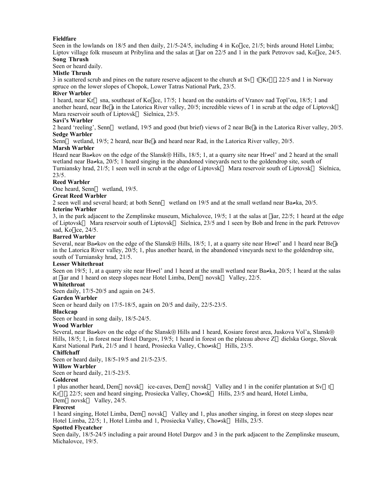#### **Fieldfare**

Seen in the lowlands on  $18/5$  and then daily,  $21/5-24/5$ , including 4 in Ko ice,  $21/5$ ; birds around Hotel Limba; Liptov village folk museum at Pribylina and the salas at fiar on 22/5 and 1 in the park Petrovov sad, Ko $\vert$ ice, 24/5. **Song Thrush**

# Seen or heard daily.

**Mistle Thrush**

3 in scattered scrub and pines on the nature reserve adjacent to the church at Sv—t | Kr⊆|, 22/5 and 1 in Norway spruce on the lower slopes of Chopok, Lower Tatras National Park, 23/5.

#### **River Warbler**

1 heard, near Kr $\leftrightarrow$ sna, southeast of Ko[ice, 17/5; 1 heard on the outskirts of Vranov nad Topl'ou, 18/5; 1 and another heard, near Be<sup> $\alpha$ </sup> in the Latorica River valley, 20/5; incredible views of 1 in scrub at the edge of Liptovsk $\leftrightarrow$ Mara reservoir south of Liptovsk $\leftrightarrow$  Sielnica, 23/5.

#### **Savi's Warbler**

2 heard 'reeling', Senn—wetland, 19/5 and good (but brief) views of 2 near Be<sup>[</sup>a in the Latorica River valley, 20/5. **Sedge Warbler**

Senn—wetland, 19/5; 2 heard, near Be<sup> $\alpha$ </sup> and heard near Rad, in the Latorica River valley, 20/5.

#### **Marsh Warbler**

Heard near Ba≠kov on the edge of the Slansk⊕ Hills, 18/5; 1, at a quarry site near Hr≠el' and 2 heard at the small wetland near Ba≠ka, 20/5; 1 heard singing in the abandoned vineyards next to the goldendrop site, south of Turniansky hrad, 21/5; 1 seen well in scrub at the edge of Liptovsk $\leftrightarrow$  Mara reservoir south of Liptovsk $\leftrightarrow$  Sielnica, 23/5.

#### **Reed Warbler**

One heard, Senn—wetland, 19/5.

#### **Great Reed Warbler**

2 seen well and several heard; at both Senn— wetland on 19/5 and at the small wetland near Ba≠ka,  $20/5$ .

#### **Icterine Warbler**

3, in the park adjacent to the Zemplinske museum, Michalovce,  $19/5$ ; 1 at the salas at fiar,  $22/5$ ; 1 heard at the edge of Liptovsk<sup>\*</sup> Mara reservoir south of Liptovsk<sup>\*</sup> Sielnica, 23/5 and 1 seen by Bob and Irene in the park Petrovov sad, Ko $\vert$ ice, 24/5.

#### **Barred Warbler**

Several, near Ba≠kov on the edge of the Slansk⊕ Hills,  $18/5$ ; 1, at a quarry site near Hr≠el' and 1 heard near Be[a in the Latorica River valley, 20/5; 1, plus another heard, in the abandoned vineyards next to the goldendrop site, south of Turniansky hrad, 21/5.

#### **Lesser Whitethroat**

Seen on 19/5; 1, at a quarry site near Hr≠el' and 1 heard at the small wetland near Ba≠ka, 20/5; 1 heard at the salas at fiar and 1 heard on steep slopes near Hotel Limba, Dem—novsk $\leftrightarrow$  Valley, 22/5.

#### **Whitethroat**

Seen daily, 17/5-20/5 and again on 24/5.

#### **Garden Warbler**

Seen or heard daily on 17/5-18/5, again on 20/5 and daily, 22/5-23/5.

#### **Blackcap**

Seen or heard in song daily, 18/5-24/5.

#### **Wood Warbler**

Several, near Ba≠kov on the edge of the Slansk⊕ Hills and 1 heard, Kosiare forest area, Juskova Vol'a, Slansk⊕ Hills, 18/5; 1, in forest near Hotel Dargov, 19/5; 1 heard in forest on the plateau above  $Z \leftrightarrow$  dielska Gorge, Slovak Karst National Park, 21/5 and 1 heard, Prosiecka Valley, Cho≠sk— Hills, 23/5.

#### **Chiffchaff**

Seen or heard daily, 18/5-19/5 and 21/5-23/5.

**Willow Warbler**

Seen or heard daily, 21/5-23/5.

#### **Goldcrest**

1 plus another heard, Dem $\leftarrow$ novsk $\leftrightarrow$  ice-caves, Dem $\leftarrow$ novsk $\leftrightarrow$  Valley and 1 in the conifer plantation at Sv $\leftarrow$ t $|$ Kr⊆ $\vert$ , 22/5; seen and heard singing, Prosiecka Valley, Cho≠sk— Hills, 23/5 and heard, Hotel Limba, Dem $\leftarrow$ novsk $\leftrightarrow$  Valley, 24/5.

#### **Firecrest**

1 heard singing, Hotel Limba, Dem—novsk $\leftrightarrow$  Valley and 1, plus another singing, in forest on steep slopes near Hotel Limba, 22/5; 1, Hotel Limba and 1, Prosiecka Valley, Cho≠sk— Hills, 23/5.

#### **Spotted Flycatcher**

Seen daily, 18/5-24/5 including a pair around Hotel Dargov and 3 in the park adjacent to the Zemplinske museum, Michalovce, 19/5.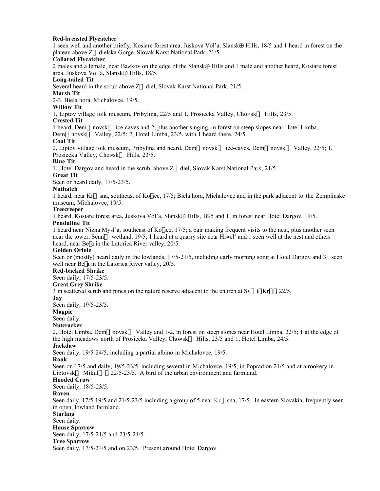#### **Red-breasted Flycatcher**

1 seen well and another briefly, Kosiare forest area, Juskova Vol'a, Slansk⊕ Hills, 18/5 and 1 heard in forest on the plateau above Z $\leftrightarrow$ dielska Gorge, Slovak Karst National Park, 21/5.

#### **Collared Flycatcher**

2 males and a female, near Ba≠kov on the edge of the Slansk⊕ Hills and 1 male and another heard, Kosiare forest area, Juskova Vol'a, Slansk⊕ Hills, 18/5.

# **Long-tailed Tit**

Several heard in the scrub above  $Z \leftrightarrow$  diel, Slovak Karst National Park, 21/5.

**Marsh Tit**

2-3, Biela hora, Michalovce, 19/5.

# **Willow Tit**

1, Liptov village folk museum, Pribylina, 22/5 and 1, Prosiecka Valley, Cho≠sk— Hills, 23/5.

#### **Crested Tit**

1 heard, Dem—novsk $\leftrightarrow$  ice-caves and 2, plus another singing, in forest on steep slopes near Hotel Limba,

Dem independent valley, 22/5; 2, Hotel Limba, 23/5, with 1 heard there, 24/5.

#### **Coal Tit**

2, Liptov village folk museum, Pribylina and heard, Dem inovsk  $\leftrightarrow$  ice-caves, Dem involves  $\leftrightarrow$  Valley, 22/5; 1, Prosiecka Valley, Cho≠sk— Hills, 23/5.

#### **Blue Tit**

1, Hotel Dargov and heard in the scrub, above  $Z \leftrightarrow$  diel, Slovak Karst National Park, 21/5.

**Great Tit**

Seen or heard daily, 17/5-23/5.

#### **Nuthatch**

1 heard, near Kr $\leftrightarrow$ sna, southeast of Ko $\vert$ ice, 17/5; Biela hora, Michalovce and in the park adjacent to the Zemplinske museum, Michalovce, 19/5.

#### **Treecreeper**

1 heard, Kosiare forest area, Juskova Vol'a, Slansk⊕ Hills, 18/5 and 1, in forest near Hotel Dargov, 19/5.

#### **Penduline Tit**

1 heard near Nizna Mysl'a, southeast of Ko $\vert$ ice, 17/5; a pair making frequent visits to the nest, plus another seen near the tower, Senn— wetland, 19/5; 1 heard at a quarry site near Hr≠el' and 1 seen well at the nest and others heard, near Be $\alpha$  in the Latorica River valley, 20/5.

#### **Golden Oriole**

Seen or (mostly) heard daily in the lowlands, 17/5-21/5, including early morning song at Hotel Dargov and 3+ seen well near Be $|a|$  in the Latorica River valley, 20/5.

#### **Red-backed Shrike**

Seen daily, 17/5-23/5.

#### **Great Grey Shrike**

3 in scattered scrub and pines on the nature reserve adjacent to the church at Sv $\leftarrow$ t $\vert$ Kr $\subseteq$ , 22/5.

**Jay**

Seen daily, 19/5-23/5.

#### **Magpie**

Seen daily.

#### **Nutcracker**

2, Hotel Limba, Dem—novsk $\leftrightarrow$  Valley and 1-2, in forest on steep slopes near Hotel Limba, 22/5; 1 at the edge of the high meadows north of Prosiecka Valley, Cho≠skæ Hills, 23/5 and 1, Hotel Limba, 24/5.

#### **Jackdaw**

Seen daily, 19/5-24/5, including a partial albino in Michalovce, 19/5.

#### **Rook**

Seen on 17/5 and daily, 19/5-23/5, including several in Michalovce, 19/5; in Poprad on 21/5 and at a rookery in Liptovsk $\leftrightarrow$  Mikul $\leftrightarrow$ , 22/5-23/5. A bird of the urban environment and farmland.

#### **Hooded Crow**

Seen daily, 18/5-23/5.

#### **Raven**

Seen daily,  $17/5-19/5$  and  $21/5-23/5$  including a group of 5 near Kr $\leftrightarrow$ sna,  $17/5$ . In eastern Slovakia, frequently seen in open, lowland farmland.

#### **Starling**

Seen daily.

**House Sparrow**

Seen daily, 17/5-21/5 and 23/5-24/5.

#### **Tree Sparrow**

Seen daily, 17/5-21/5 and on 23/5. Present around Hotel Dargov.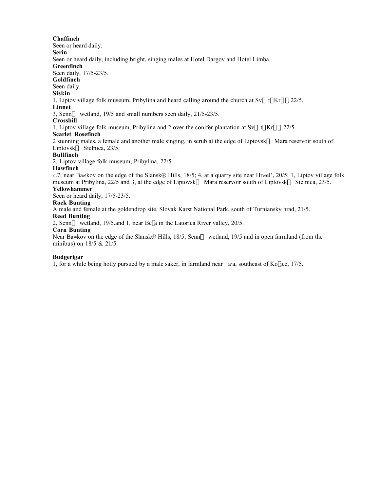#### **Chaffinch**

Seen or heard daily.

**Serin** Seen or heard daily, including bright, singing males at Hotel Dargov and Hotel Limba.

#### **Greenfinch**

Seen daily, 17/5-23/5.

**Goldfinch**

Seen daily.

#### **Siskin**

1, Liptov village folk museum, Pribylina and heard calling around the church at  $Sv \leftarrow t | Kr \subseteq I$ , 22/5.

### **Linnet**

3, Senn— wetland,  $19/5$  and small numbers seen daily,  $21/5-23/5$ .

#### **Crossbill**

1, Liptov village folk museum, Pribylina and 2 over the conifer plantation at Sv $\leftarrow$ t $\vert$  Kr $\subseteq$  |, 22/5.

#### **Scarlet Rosefinch**

2 stunning males, a female and another male singing, in scrub at the edge of Liptovsk $\leftrightarrow$  Mara reservoir south of Liptovsk $\leftrightarrow$  Sielnica, 23/5.

#### **Bullfinch**

2, Liptov village folk museum, Pribylina, 22/5.

#### **Hawfinch**

*c*.7, near Ba≠kov on the edge of the Slansk⊕ Hills, 18/5; 4, at a quarry site near Hr≠el', 20/5; 1, Liptov village folk museum at Pribylina, 22/5 and 3, at the edge of Liptovsk $\leftrightarrow$  Mara reservoir south of Liptovsk $\leftrightarrow$  Sielnica, 23/5.

#### **Yellowhammer**

Seen or heard daily, 17/5-23/5.

#### **Rock Bunting**

A male and female at the goldendrop site, Slovak Karst National Park, south of Turniansky hrad, 21/5.

# **Reed Bunting**

2, Senn— wetland, 19/5.and 1, near Be<sup>l</sup>a in the Latorica River valley, 20/5.

#### **Corn Bunting**

Near Ba≠kov on the edge of the Slansk⊕ Hills, 18/5; Senn— wetland, 19/5 and in open farmland (from the minibus) on  $18/5 \& 21/5$ .

#### **Budgerigar**

1, for a while being hotly pursued by a male saker, in farmland near a⋅a, southeast of Ko∫ice, 17/5.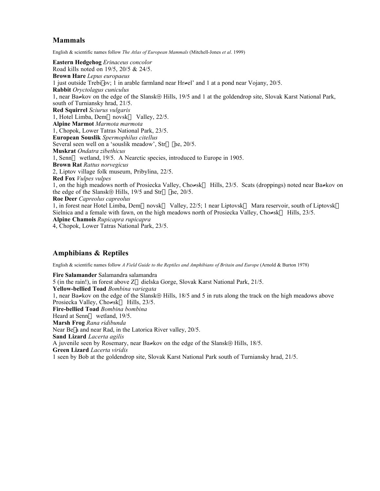# **Mammals**

English & scientific names follow *The Atlas of European Mammals* (Mitchell-Jones *et al*. 1999)

**Eastern Hedgehog** *Erinaceus concolor* Road kills noted on 19/5, 20/5 & 24/5. **Brown Hare** *Lepus europaeus* 1 just outside TrebiÎov; 1 in arable farmland near Hr≠el' and 1 at a pond near Vojany, 20/5. **Rabbit** *Oryctolagus cuniculus* 1, near Ba≠kov on the edge of the Slansk⊕ Hills, 19/5 and 1 at the goldendrop site, Slovak Karst National Park, south of Turniansky hrad, 21/5. **Red Squirrel** *Sciurus vulgaris* 1, Hotel Limba, Dem $\leftarrow$ novsk $\leftrightarrow$  Valley, 22/5. **Alpine Marmot** *Marmota marmota* 1, Chopok, Lower Tatras National Park, 23/5. **European Souslik** *Spermophilus citellus* Several seen well on a 'souslik meadow',  $Str \leftrightarrow$   $\ln e$ , 20/5. **Muskrat** *Ondatra zibethicus* 1, Senn— wetland, 19/5. A Nearctic species, introduced to Europe in 1905. **Brown Rat** *Rattus norvegicus* 2, Liptov village folk museum, Pribylina, 22/5. **Red Fox** *Vulpes vulpes* 1, on the high meadows north of Prosiecka Valley, Cho≠skæ Hills, 23/5. Scats (droppings) noted near Ba≠kov on the edge of the Slansk⊕ Hills, 19/5 and Str $\leftrightarrow$  |ne, 20/5. **Roe Deer** *Capreolus capreolus* 1, in forest near Hotel Limba, Dem—novsk $\leftrightarrow$  Valley, 22/5; 1 near Liptovsk $\leftrightarrow$  Mara reservoir, south of Liptovsk $\leftrightarrow$ Sielnica and a female with fawn, on the high meadows north of Prosiecka Valley, Cho≠sk—Hills,  $23/5$ . **Alpine Chamois** *Rupicapra rupicapra* 4, Chopok, Lower Tatras National Park, 23/5.

# **Amphibians & Reptiles**

English & scientific names follow *A Field Guide to the Reptiles and Amphibians of Britain and Europe* (Arnold & Burton 1978)

**Fire Salamander** Salamandra salamandra 5 (in the rain!), in forest above  $Z \Leftrightarrow$  dielska Gorge, Slovak Karst National Park, 21/5. **Yellow-bellied Toad** *Bombina variegata* 1, near Ba≠kov on the edge of the Slansk⊕ Hills, 18/5 and 5 in ruts along the track on the high meadows above Prosiecka Valley, Cho≠sk— Hills, 23/5. **Fire-bellied Toad** *Bombina bombina* Heard at Senn—wetland, 19/5. **Marsh Frog** *Rana ridibunda* Near Be<sup> $\vert$ </sup> a and near Rad, in the Latorica River valley, 20/5. **Sand Lizard** *Lacerta agilis* A juvenile seen by Rosemary, near Ba≠kov on the edge of the Slansk⊕ Hills, 18/5. **Green Lizard** *Lacerta viridis* 1 seen by Bob at the goldendrop site, Slovak Karst National Park south of Turniansky hrad, 21/5.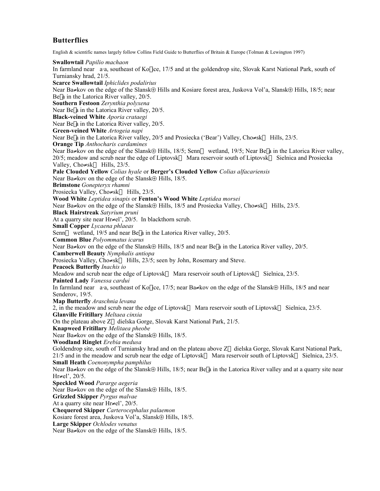# **Butterflies**

English & scientific names largely follow Collins Field Guide to Butterflies of Britain & Europe (Tolman & Lewington 1997)

**Swallowtail** *Papilio machaon* In farmland near a⋅a, southeast of Ko|ice, 17/5 and at the goldendrop site, Slovak Karst National Park, south of Turniansky hrad, 21/5. **Scarce Swallowtail** *Iphiclides podalirius* Near Ba≠kov on the edge of the Slansk⊕ Hills and Kosiare forest area, Juskova Vol'a, Slansk⊕ Hills, 18/5; near Bel a in the Latorica River valley, 20/5. **Southern Festoon** *Zerynthia polyxena* Near Be<sup> $\alpha$ </sup> in the Latorica River valley, 20/5. **Black-veined White** *Aporia crataegi* Near Be<sup> $\vert$ </sup> a in the Latorica River valley, 20/5. **Green-veined White** *Artogeia napi* Near Bela in the Latorica River valley, 20/5 and Prosiecka ('Bear') Valley, Cho≠sk—Hills, 23/5. **Orange Tip** *Anthocharis cardamines* Near Ba≠kov on the edge of the Slansk⊕ Hills, 18/5; Senn— wetland, 19/5; Near Be|a in the Latorica River valley,  $20/5$ ; meadow and scrub near the edge of Liptovsk $\leftrightarrow$  Mara reservoir south of Liptovsk $\leftrightarrow$  Sielnica and Prosiecka Valley, Cho≠sk— Hills,  $23/5$ . **Pale Clouded Yellow** *Colias hyale* or **Berger's Clouded Yellow** *Colias alfacariensis* Near Ba≠kov on the edge of the Slansk⊕ Hills, 18/5. **Brimstone** *Gonepteryx rhamni* Prosiecka Valley, Cho≠sk— Hills, 23/5. **Wood White** *Leptidea sinapis* or **Fenton's Wood White** *Leptidea morsei* Near Ba≠kov on the edge of the Slansk⊕ Hills, 18/5 and Prosiecka Valley, Cho≠sk— Hills, 23/5. **Black Hairstreak** *Satyrium pruni* At a quarry site near Hr≠el',  $20/5$ . In blackthorn scrub. **Small Copper** *Lycaena phlaeas* Senn— wetland, 19/5 and near Be<sup> $\vert$ </sup> a in the Latorica River valley, 20/5. **Common Blue** *Polyommatus icarus* Near Ba≠kov on the edge of the Slansk⊕ Hills, 18/5 and near Be|a in the Latorica River valley, 20/5. **Camberwell Beauty** *Nymphalis antiopa* Prosiecka Valley, Cho≠sk— Hills,  $23/5$ ; seen by John, Rosemary and Steve. **Peacock Butterfly** *Inachis io* Meadow and scrub near the edge of Liptovsk $\leftrightarrow$  Mara reservoir south of Liptovsk $\leftrightarrow$  Sielnica, 23/5. **Painted Lady** *Vanessa cardui* In farmland near a⋅a, southeast of Ko[ice, 17/5; near Ba≠kov on the edge of the Slansk⊕ Hills, 18/5 and near Senderov, 19/5. **Map Butterfly** *Araschnia levana* 2, in the meadow and scrub near the edge of Liptovsk $\leftrightarrow$  Mara reservoir south of Liptovsk $\leftrightarrow$  Sielnica, 23/5. **Glanville Fritillary** *Meltaea cinxia* On the plateau above  $Z \leftrightarrow$  dielska Gorge, Slovak Karst National Park, 21/5. **Knapweed Fritillary** *Melitaea pheobe* Near Ba≠kov on the edge of the Slansk⊕ Hills, 18/5. **Woodland Ringlet** *Erebia medusa* Goldendrop site, south of Turniansky hrad and on the plateau above Z $\leftrightarrow$ dielska Gorge, Slovak Karst National Park, 21/5 and in the meadow and scrub near the edge of Liptovsk $\leftrightarrow$  Mara reservoir south of Liptovsk $\leftrightarrow$  Sielnica, 23/5. **Small Heath** *Coenonympha pamphilus* Near Ba≠kov on the edge of the Slansk⊕ Hills, 18/5; near Be|a in the Latorica River valley and at a quarry site near Hr≠el', 20/5. **Speckled Wood** *Pararge aegeria* Near Ba≠kov on the edge of the Slansk⊕ Hills, 18/5. **Grizzled Skipper** *Pyrgus malvae* At a quarry site near Hr≠el', 20/5. **Chequered Skipper** *Carterocephalus palaemon* Kosiare forest area, Juskova Vol'a, Slansk⊕ Hills, 18/5. **Large Skipper** *Ochlodes venatus* Near Ba≠kov on the edge of the Slansk⊕ Hills, 18/5.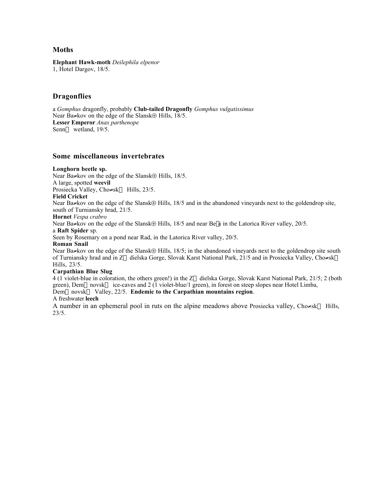# **Moths**

**Elephant Hawk-moth** *Deilephila elpenor* 1, Hotel Dargov, 18/5.

# **Dragonflies**

a *Gomphus* dragonfly, probably **Club-tailed Dragonfly** *Gomphus vulgatissimus* Near Ba≠kov on the edge of the Slansk⊕ Hills, 18/5. **Lesser Emperor** *Anax parthenope* Senn— wetland, 19/5.

# **Some miscellaneous invertebrates**

#### **Longhorn beetle sp.**

Near Ba≠kov on the edge of the Slansk⊕ Hills, 18/5.

A large, spotted **weevil**

Prosiecka Valley, Cho≠sk— Hills, 23/5.

#### **Field Cricket**

Near Ba≠kov on the edge of the Slansk⊕ Hills, 18/5 and in the abandoned vineyards next to the goldendrop site, south of Turniansky hrad, 21/5.

#### **Hornet** *Vespa crabro*

Near Ba≠kov on the edge of the Slansk⊕ Hills, 18/5 and near Be|a in the Latorica River valley, 20/5.

#### a **Raft Spider** sp.

Seen by Rosemary on a pond near Rad, in the Latorica River valley, 20/5.

#### **Roman Snail**

Near Ba≠kov on the edge of the Slansk⊕ Hills, 18/5; in the abandoned vineyards next to the goldendrop site south of Turniansky hrad and in Z⇔dielska Gorge, Slovak Karst National Park, 21/5 and in Prosiecka Valley, Cho≠sk— Hills, 23/5.

#### **Carpathian Blue Slug**

4 (1 violet-blue in coloration, the others green!) in the Z $\leftrightarrow$ dielska Gorge, Slovak Karst National Park, 21/5; 2 (both green), Dem—novsk $\leftrightarrow$  ice-caves and 2 (1 violet-blue/1 green), in forest on steep slopes near Hotel Limba, Dem←novsk↔ Valley, 22/5. **Endemic to the Carpathian mountains region**.

#### A freshwater **leech**

A number in an ephemeral pool in ruts on the alpine meadows above Prosiecka valley, Cho≠sk— Hills, 23/5.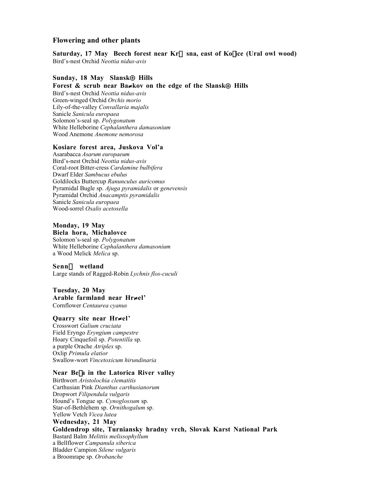# **Flowering and other plants**

Saturday, 17 May Beech forest near Kr<sup>→</sup>sna, east of Ko|ice (Ural owl wood) Bird's-nest Orchid *Neottia nidus-avis*

#### **Sunday, 18 May Slansk**⊕ **Hills**

**Forest & scrub near Ba**≠**kov on the edge of the Slansk**⊕ **Hills**

Bird's-nest Orchid *Neottia nidus-avis* Green-winged Orchid *Orchis morio* Lily-of-the-valley *Convallaria majalis* Sanicle *Sanicula europaea* Solomon's-seal sp. *Polygonatum* White Helleborine *Cephalanthera damasonium* Wood Anemone *Anemone nemorosa*

#### **Kosiare forest area, Juskova Vol'a**

Asarabacca *Asarum europaeum* Bird's-nest Orchid *Neottia nidus-avis* Coral-root Bitter-cress *Cardamine bulbifera* Dwarf Elder *Sambucus ebulus* Goldilocks Buttercup *Ranunculus auricomus* Pyramidal Bugle sp. *Ajuga pyramidalis* or *genevensis* Pyramidal Orchid *Anacamptis pyramidalis* Sanicle *Sanicula europaea* Wood-sorrel *Oxalis acetosella*

# **Monday, 19 May**

**Biela hora, Michalovce** Solomon's-seal sp. *Polygonatum* White Helleborine *Cephalanthera damasonium* a Wood Melick *Melica* sp.

#### **Senn—** wetland

Large stands of Ragged-Robin *Lychnis flos-cuculi*

#### **Tuesday, 20 May Arable farmland near Hr**≠**el'** Cornflower *Centaurea cyanus*

# **Quarry site near Hr**≠**el'**

Crosswort *Galium cruciata* Field Eryngo *Eryngium campestre* Hoary Cinquefoil sp. *Potentilla* sp. a purple Orache *Atriplex* sp. Oxlip *Primula elatior* Swallow-wort *Vincetoxicum hirundinaria*

#### **Near Be**Î**a in the Latorica River valley**

Birthwort *Aristolochia clematitis* Carthusian Pink *Dianthus carthusianorum* Dropwort *Filipendula vulgaris* Hound's Tongue sp. *Cynoglossum* sp. Star-of-Bethlehem sp. *Ornithogalum* sp. Yellow Vetch *Vicea lutea* **Wednesday, 21 May Goldendrop site, Turniansky hradny vrch, Slovak Karst National Park** Bastard Balm *Melittis melissophyllum* a Bellflower *Campanula siberica* Bladder Campion *Silene vulgaris* a Broomrape sp. *Orobanche*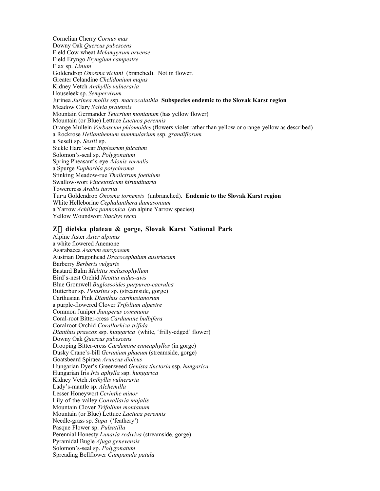Cornelian Cherry *Cornus mas* Downy Oak *Quercus pubescens* Field Cow-wheat *Melampyrum arvense* Field Eryngo *Eryngium campestre* Flax sp. *Linum* Goldendrop *Onosma viciani* (branched). Not in flower. Greater Celandine *Chelidonium majus* Kidney Vetch *Anthyllis vulneraria* Houseleek sp. *Sempervivum* Jurinea *Jurinea mollis* ssp. *macrocalathia* **Subspecies endemic to the Slovak Karst region** Meadow Clary *Salvia pratensis* Mountain Germander *Teucrium montanum* (has yellow flower) Mountain (or Blue) Lettuce *Lactuca perennis* Orange Mullein *Verbascum phlomoides* (flowers violet rather than yellow or orange-yellow as described) a Rockrose *Helianthemum nummularium* ssp. *grandiflorum* a Seseli sp. *Sesili* sp. Sickle Hare's-ear *Bupleurum falcatum* Solomon's-seal sp. *Polygonatum* Spring Pheasant's-eye *Adonis vernalis* a Spurge *Euphorbia polychroma* Stinking Meadow-rue *Thalictrum foetidum* Swallow-wort *Vincetoxicum hirundinaria* Towercress *Arabis turrita* Tur⋅a Goldendrop *Onosma tornensis* (unbranched). **Endemic to the Slovak Karst region** White Helleborine *Cephalanthera damasonium* a Yarrow *Achillea pannonica* (an alpine Yarrow species) Yellow Woundwort *Stachys recta*

#### **Z**´**dielska plateau & gorge, Slovak Karst National Park**

Alpine Aster *Aster alpinus* a white flowered Anemone Asarabacca *Asarum europaeum* Austrian Dragonhead *Dracocephalum austriacum* Barberry *Berberis vulgaris* Bastard Balm *Melittis melissophyllum* Bird's-nest Orchid *Neottia nidus-avis* Blue Gromwell *Buglossoides purpureo-caerulea* Butterbur sp. *Petasites* sp. (streamside, gorge) Carthusian Pink *Dianthus carthusianorum* a purple-flowered Clover *Trifolium alpestre* Common Juniper *Juniperus communis* Coral-root Bitter-cress *Cardamine bulbifera* Coralroot Orchid *Corallorhiza trifida Dianthus praecox* ssp. *hungarica* (white, 'frilly-edged' flower) Downy Oak *Quercus pubescens* Drooping Bitter-cress *Cardamine enneaphyllos* (in gorge) Dusky Crane's-bill *Geranium phaeum* (streamside, gorge) Goatsbeard Spiraea *Aruncus dioicus* Hungarian Dyer's Greenweed *Genista tinctoria* ssp. *hungarica* Hungarian Iris *Iris aphylla* ssp. *hungarica* Kidney Vetch *Anthyllis vulneraria* Lady's-mantle sp. *Alchemilla* Lesser Honeywort *Cerinthe minor* Lily-of-the-valley *Convallaria majalis* Mountain Clover *Trifolium montanum* Mountain (or Blue) Lettuce *Lactuca perennis* Needle-grass sp. *Stipa* ('feathery') Pasque Flower sp. *Pulsatilla* Perennial Honesty *Lunaria rediviva* (streamside, gorge) Pyramidal Bugle *Ajuga genevensis* Solomon's-seal sp. *Polygonatum* Spreading Bellflower *Campanula patula*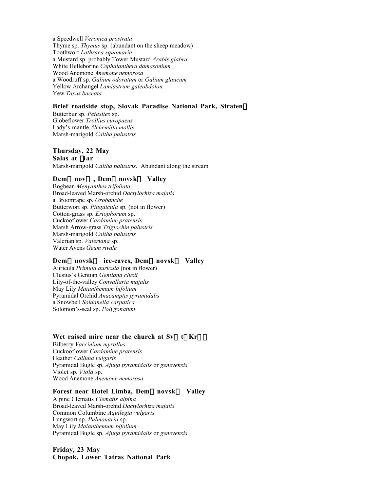a Speedwell *Veronica prostrata* Thyme sp. *Thymus* sp. (abundant on the sheep meadow) Toothwort *Lathraea squamaria* a Mustard sp. probably Tower Mustard *Arabis glabra* White Helleborine *Cephalanthera damasonium* Wood Anemone *Anemone nemorosa* a Woodruff sp. *Galium odoratum* or *Galium glaucum* Yellow Archangel *Lamiastrum galeobdolon* Yew *Taxus baccata*

#### **Brief roadside stop, Slovak Paradise National Park, Straten**´

Butterbur sp. *Petasites* sp. Globeflower *Trollius europaeus* Lady's-mantle *Alchemilla mollis* Marsh-marigold *Caltha palustris*

#### **Thursday, 22 May Salas at fiar**

Marsh-marigold *Caltha palustris*. Abundant along the stream

#### **Dem←nov↔, Dem←novsk↔ Valley**

Bogbean *Menyanthes trifoliata* Broad-leaved Marsh-orchid *Dactylorhiza majalis* a Broomrape sp. *Orobanche* Butterwort sp. *Pinguicula* sp. (not in flower) Cotton-grass sp. *Eriophorum* sp. Cuckooflower *Cardamine pratensis* Marsh Arrow-grass *Triglochin palustris* Marsh-marigold *Caltha palustris* Valerian sp. *Valeriana* sp. Water Avens *Geum rivale*

#### **Dem←novsk↔ ice-caves, Dem←novsk↔ Valley**

Auricula *Primula auricula* (not in flower) Clusius's Gentian *Gentiana clusii* Lily-of-the-valley *Convallaria majalis* May Lily *Maianthemum bifolium* Pyramidal Orchid *Anacamptis pyramidalis* a Snowbell *Soldanella carpatica* Solomon's-seal sp. *Polygonatum*

#### Wet raised mire near the church at  $Sv \leftarrow t | Kr \subseteq |$

Bilberry *Vaccinium myrtillus* Cuckooflower *Cardamine pratensis* Heather *Calluna vulgaris* Pyramidal Bugle sp. *Ajuga pyramidalis* or *genevensis* Violet sp. *Viola* sp. Wood Anemone *Anemone nemorosa*

#### **Forest near Hotel Limba, Dem←novsk↔ Valley**

Alpine Clematis *Clematis alpina* Broad-leaved Marsh-orchid *Dactylorhiza majalis* Common Columbine *Aquilegia vulgaris* Lungwort sp. *Pulmonaria* sp. May Lily *Maianthemum bifolium* Pyramidal Bugle sp. *Ajuga pyramidalis* or *genevensis*

# **Friday, 23 May Chopok, Lower Tatras National Park**